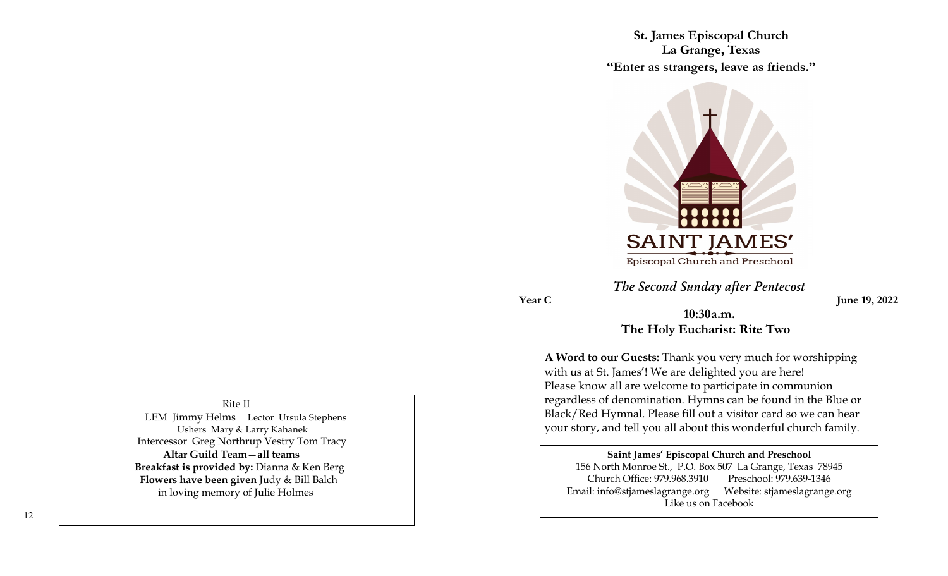**St. James Episcopal Church La Grange, Texas "Enter as strangers, leave as friends."**



*The Second Sunday after Pentecost*

**Year C June 19, 2022** 

# **10:30a.m. The Holy Eucharist: Rite Two**

**A Word to our Guests:** Thank you very much for worshipping with us at St. James'! We are delighted you are here! Please know all are welcome to participate in communion regardless of denomination. Hymns can be found in the Blue or Black/Red Hymnal. Please fill out a visitor card so we can hear your story, and tell you all about this wonderful church family.

**Saint James' Episcopal Church and Preschool** 156 North Monroe St., P.O. Box 507 La Grange, Texas 78945 Church Office: 979.968.3910 Email: info@stjameslagrange.org Website: stjameslagrange.org Like us on Facebook

Rite II

 LEM Jimmy Helms Lector Ursula Stephens Ushers Mary & Larry Kahanek Intercessor Greg Northrup Vestry Tom Tracy  **Altar Guild Team—all teams Breakfast is provided by:** Dianna & Ken Berg **Flowers have been given** Judy & Bill Balch in loving memory of Julie Holmes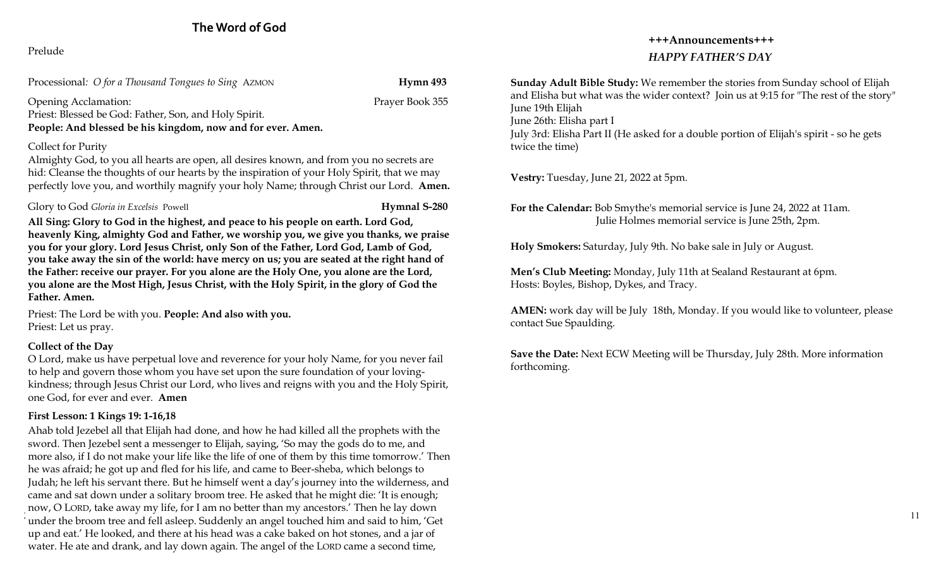## **The Word of God**

#### Prelude

Processional: *O for a Thousand Tongues to Sing AzMON* **Hymn 493** 

Opening Acclamation: Prayer Book 355

Priest: Blessed be God: Father, Son, and Holy Spirit.

**People: And blessed be his kingdom, now and for ever. Amen.** 

#### Collect for Purity

Almighty God, to you all hearts are open, all desires known, and from you no secrets are hid: Cleanse the thoughts of our hearts by the inspiration of your Holy Spirit, that we may perfectly love you, and worthily magnify your holy Name; through Christ our Lord. **Amen.**

#### Glory to God *Gloria in Excelsis* Powell **Hymnal S-280**

**All Sing: Glory to God in the highest, and peace to his people on earth. Lord God, heavenly King, almighty God and Father, we worship you, we give you thanks, we praise you for your glory. Lord Jesus Christ, only Son of the Father, Lord God, Lamb of God, you take away the sin of the world: have mercy on us; you are seated at the right hand of the Father: receive our prayer. For you alone are the Holy One, you alone are the Lord, you alone are the Most High, Jesus Christ, with the Holy Spirit, in the glory of God the Father. Amen.** 

Priest: The Lord be with you. **People: And also with you.** Priest: Let us pray.

## **Collect of the Day**

O Lord, make us have perpetual love and reverence for your holy Name, for you never fail to help and govern those whom you have set upon the sure foundation of your lovingkindness; through Jesus Christ our Lord, who lives and reigns with you and the Holy Spirit, one God, for ever and ever. **Amen**

#### **First Lesson: 1 Kings 19: 1-16,18**

2 under the broom tree and fell asleep. Suddenly an angel touched him and said to him, 'Get Ahab told Jezebel all that Elijah had done, and how he had killed all the prophets with the sword. Then Jezebel sent a messenger to Elijah, saying, 'So may the gods do to me, and more also, if I do not make your life like the life of one of them by this time tomorrow.' Then he was afraid; he got up and fled for his life, and came to Beer-sheba, which belongs to Judah; he left his servant there. But he himself went a day's journey into the wilderness, and came and sat down under a solitary broom tree. He asked that he might die: 'It is enough; now, O LORD, take away my life, for I am no better than my ancestors.' Then he lay down up and eat.' He looked, and there at his head was a cake baked on hot stones, and a jar of water. He ate and drank, and lay down again. The angel of the LORD came a second time,

## **+++Announcements+++** *HAPPY FATHER'S DAY*

**Sunday Adult Bible Study:** We remember the stories from Sunday school of Elijah and Elisha but what was the wider context? Join us at 9:15 for "The rest of the story" June 19th Elijah June 26th: Elisha part I July 3rd: Elisha Part II (He asked for a double portion of Elijah's spirit - so he gets twice the time)

**Vestry:** Tuesday, June 21, 2022 at 5pm.

**For the Calendar:** Bob Smythe's memorial service is June 24, 2022 at 11am. Julie Holmes memorial service is June 25th, 2pm.

**Holy Smokers:** Saturday, July 9th. No bake sale in July or August.

**Men's Club Meeting:** Monday, July 11th at Sealand Restaurant at 6pm. Hosts: Boyles, Bishop, Dykes, and Tracy.

**AMEN:** work day will be July 18th, Monday. If you would like to volunteer, please contact Sue Spaulding.

**Save the Date:** Next ECW Meeting will be Thursday, July 28th. More information forthcoming.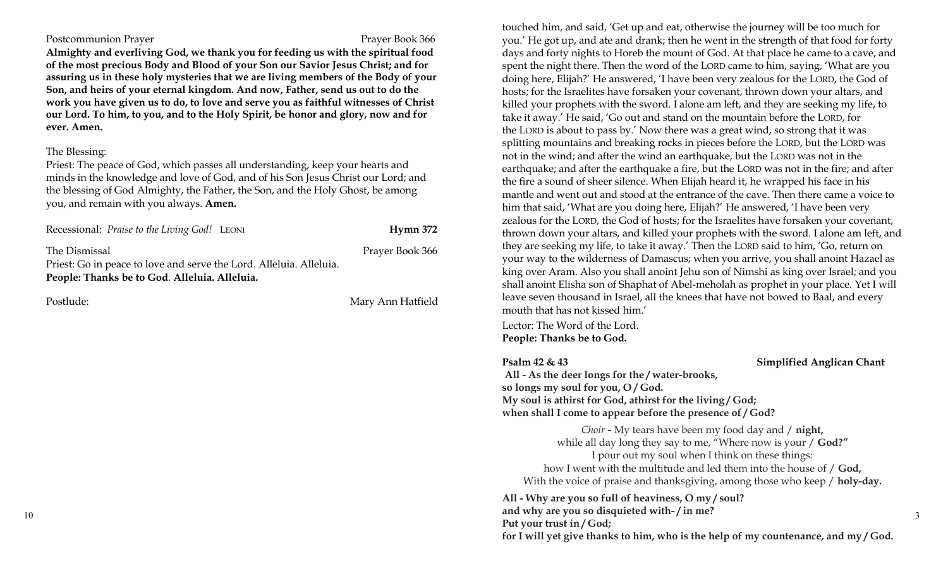#### Postcommunion Prayer **Prayer Book 366**

**Almighty and everliving God, we thank you for feeding us with the spiritual food of the most precious Body and Blood of your Son our Savior Jesus Christ; and for assuring us in these holy mysteries that we are living members of the Body of your Son, and heirs of your eternal kingdom. And now, Father, send us out to do the work you have given us to do, to love and serve you as faithful witnesses of Christ our Lord. To him, to you, and to the Holy Spirit, be honor and glory, now and for ever. Amen.** 

#### The Blessing:

Priest: The peace of God, which passes all understanding, keep your hearts and minds in the knowledge and love of God, and of his Son Jesus Christ our Lord; and the blessing of God Almighty, the Father, the Son, and the Holy Ghost, be among you, and remain with you always. **Amen.** 

| Recessional: Praise to the Living God! LEONI                        | <b>Hymn 372</b> |
|---------------------------------------------------------------------|-----------------|
| The Dismissal                                                       | Prayer Book 366 |
| Priest: Go in peace to love and serve the Lord. Alleluia. Alleluia. |                 |
| People: Thanks be to God. Alleluia. Alleluia.                       |                 |

Postlude: Mary Ann Hatfield

touched him, and said, 'Get up and eat, otherwise the journey will be too much for you.' He got up, and ate and drank; then he went in the strength of that food for forty days and forty nights to Horeb the mount of God. At that place he came to a cave, and spent the night there. Then the word of the LORD came to him, saying, 'What are you doing here, Elijah?' He answered, 'I have been very zealous for the LORD, the God of hosts; for the Israelites have forsaken your covenant, thrown down your altars, and killed your prophets with the sword. I alone am left, and they are seeking my life, to take it away.' He said, 'Go out and stand on the mountain before the LORD, for the LORD is about to pass by.' Now there was a great wind, so strong that it was splitting mountains and breaking rocks in pieces before the LORD, but the LORD was not in the wind; and after the wind an earthquake, but the LORD was not in the earthquake; and after the earthquake a fire, but the LORD was not in the fire; and after the fire a sound of sheer silence. When Elijah heard it, he wrapped his face in his mantle and went out and stood at the entrance of the cave. Then there came a voice to him that said, 'What are you doing here, Elijah?' He answered, 'I have been very zealous for the LORD, the God of hosts; for the Israelites have forsaken your covenant, thrown down your altars, and killed your prophets with the sword. I alone am left, and they are seeking my life, to take it away.' Then the LORD said to him, 'Go, return on your way to the wilderness of Damascus; when you arrive, you shall anoint Hazael as king over Aram. Also you shall anoint Jehu son of Nimshi as king over Israel; and you shall anoint Elisha son of Shaphat of Abel-meholah as prophet in your place. Yet I will leave seven thousand in Israel, all the knees that have not bowed to Baal, and every mouth that has not kissed him.'

Lector: The Word of the Lord. **People: Thanks be to God.**

#### Psalm 42 & 43 Simplified Anglican Chant

**All - As the deer longs for the / water-brooks, so longs my soul for you, O / God. My soul is athirst for God, athirst for the living / God; when shall I come to appear before the presence of / God?**

*Choir -* My tears have been my food day and / **night,** while all day long they say to me, "Where now is your / **God?"** I pour out my soul when I think on these things: how I went with the multitude and led them into the house of / **God,** With the voice of praise and thanksgiving, among those who keep / **holy-day.**

**All - Why are you so full of heaviness, O my / soul? and why are you so disquieted with- / in me? Put your trust in / God; for I will yet give thanks to him, who is the help of my countenance, and my / God.**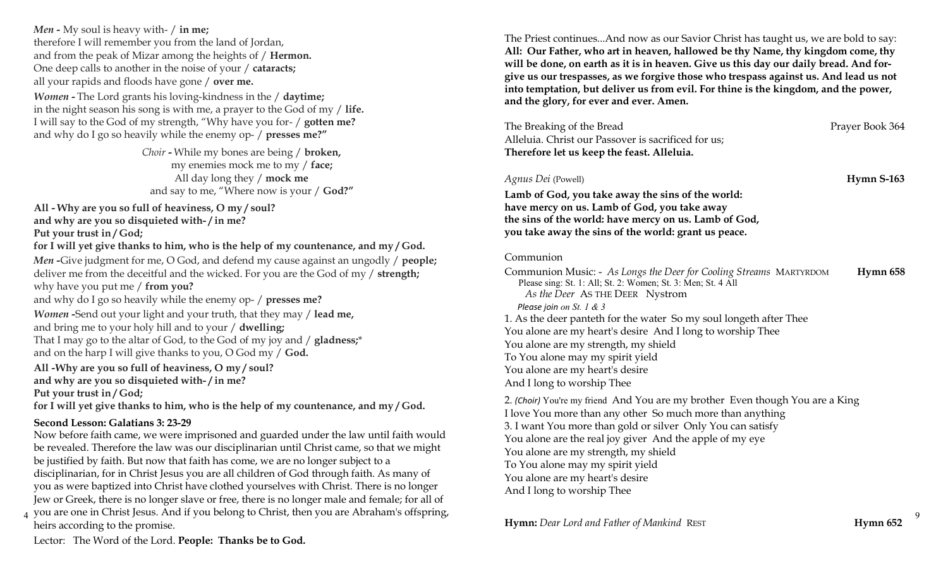*Men -* My soul is heavy with- / **in me;**  therefore I will remember you from the land of Jordan, and from the peak of Mizar among the heights of / **Hermon.** One deep calls to another in the noise of your / **cataracts;**  all your rapids and floods have gone / **over me.**

*Women -* The Lord grants his loving-kindness in the / **daytime;**  in the night season his song is with me, a prayer to the God of my / **life.** I will say to the God of my strength, "Why have you for- / **gotten me?**  and why do I go so heavily while the enemy op- / **presses me?"**

> *Choir -*While my bones are being / **broken,** my enemies mock me to my / **face;** All day long they / **mock me**  and say to me, "Where now is your / **God?"**

#### **All** *-***Why are you so full of heaviness, O my / soul? and why are you so disquieted with- / in me?**

**Put your trust in / God;** 

### **for I will yet give thanks to him, who is the help of my countenance, and my / God.**

*Men -*Give judgment for me, O God, and defend my cause against an ungodly / **people;** deliver me from the deceitful and the wicked. For you are the God of my / **strength;**  why have you put me / **from you?** 

and why do I go so heavily while the enemy op- / **presses me?**

*Women -*Send out your light and your truth, that they may / **lead me,**  and bring me to your holy hill and to your / **dwelling;** That I may go to the altar of God, to the God of my joy and / **gladness;**\* and on the harp I will give thanks to you, O God my / **God.**

**All** *-***Why are you so full of heaviness, O my / soul? and why are you so disquieted with- / in me? Put your trust in / God;** 

**for I will yet give thanks to him, who is the help of my countenance, and my / God.**

#### **Second Lesson: Galatians 3: 23-29**

Now before faith came, we were imprisoned and guarded under the law until faith would be revealed. Therefore the law was our disciplinarian until Christ came, so that we might be justified by faith. But now that faith has come, we are no longer subject to a disciplinarian, for in Christ Jesus you are all children of God through faith. As many of you as were baptized into Christ have clothed yourselves with Christ. There is no longer Jew or Greek, there is no longer slave or free, there is no longer male and female; for all of

4 you are one in Christ Jesus. And if you belong to Christ, then you are Abraham's offspring, heirs according to the promise.

The Priest continues...And now as our Savior Christ has taught us, we are bold to say: **All: Our Father, who art in heaven, hallowed be thy Name, thy kingdom come, thy will be done, on earth as it is in heaven. Give us this day our daily bread. And forgive us our trespasses, as we forgive those who trespass against us. And lead us not into temptation, but deliver us from evil. For thine is the kingdom, and the power, and the glory, for ever and ever. Amen.** 

The Breaking of the Bread Prayer Book 364 Alleluia. Christ our Passover is sacrificed for us; **Therefore let us keep the feast. Alleluia.** 

#### *Agnus Dei* (Powell) **Hymn S-163**

**Lamb of God, you take away the sins of the world: have mercy on us. Lamb of God, you take away the sins of the world: have mercy on us. Lamb of God, you take away the sins of the world: grant us peace.** 

#### Communion

Communion Music: - *As Longs the Deer for Cooling Streams* MARTYRDOM **Hymn 658** Please sing: St. 1: All; St. 2: Women; St. 3: Men; St. 4 All  *As the Deer* AS THE DEER Nystrom *Please join on St. 1 & 3* 1. As the deer panteth for the water So my soul longeth after Thee You alone are my heart's desire And I long to worship Thee You alone are my strength, my shield To You alone may my spirit yield You alone are my heart's desire And I long to worship Thee

2. *(Choir)* You're my friend And You are my brother Even though You are a King I love You more than any other So much more than anything 3. I want You more than gold or silver Only You can satisfy You alone are the real joy giver And the apple of my eye You alone are my strength, my shield To You alone may my spirit yield You alone are my heart's desire And I long to worship Thee

9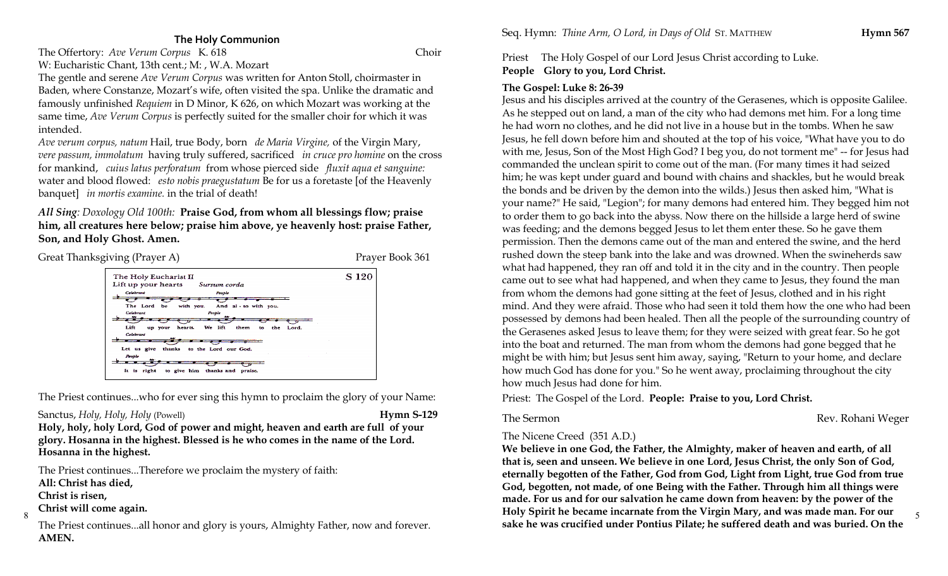## **The Holy Communion**

The Offertory: *Ave Verum Corpus K.* 618 *Choir* **Choir** W: Eucharistic Chant, 13th cent.; M: , W.A. Mozart

The gentle and serene *Ave Verum Corpus* was written for Anton Stoll, choirmaster in Baden, where Constanze, Mozart's wife, often visited the spa. Unlike the dramatic and famously unfinished *Requiem* in D Minor, K 626, on which Mozart was working at the same time, *Ave Verum Corpus* is perfectly suited for the smaller choir for which it was intended.

*Ave verum corpus, natum* Hail, true Body, born *de Maria Virgine,* of the Virgin Mary, *vere passum, immolatum* having truly suffered, sacrificed *in cruce pro homine* on the cross for mankind, *cuius latus perforatum* from whose pierced side *fluxit aqua et sanguine:*  water and blood flowed: *esto nobis praegustatum* Be for us a foretaste [of the Heavenly banquet] *in mortis examine.* in the trial of death!

## *All Sing: Doxology Old 100th:* **Praise God, from whom all blessings flow; praise him, all creatures here below; praise him above, ye heavenly host: praise Father, Son, and Holy Ghost. Amen.**



The Priest continues...who for ever sing this hymn to proclaim the glory of your Name:

### Sanctus, *Holy, Holy, Holy* (Powell) **Hymn S-129**

**Holy, holy, holy Lord, God of power and might, heaven and earth are full of your glory. Hosanna in the highest. Blessed is he who comes in the name of the Lord. Hosanna in the highest.** 

The Priest continues...Therefore we proclaim the mystery of faith: **All: Christ has died, Christ is risen,** 

## **Christ will come again.**

8

The Priest continues...all honor and glory is yours, Almighty Father, now and forever. **AMEN.**

Seq. Hymn: *Thine Arm, O Lord, in Days of Old St. MATTHEW* **Hymn 567** 

Priest The Holy Gospel of our Lord Jesus Christ according to Luke. **People Glory to you, Lord Christ.**

## **The Gospel: Luke 8: 26-39**

Jesus and his disciples arrived at the country of the Gerasenes, which is opposite Galilee. As he stepped out on land, a man of the city who had demons met him. For a long time he had worn no clothes, and he did not live in a house but in the tombs. When he saw Jesus, he fell down before him and shouted at the top of his voice, "What have you to do with me, Jesus, Son of the Most High God? I beg you, do not torment me" -- for Jesus had commanded the unclean spirit to come out of the man. (For many times it had seized him; he was kept under guard and bound with chains and shackles, but he would break the bonds and be driven by the demon into the wilds.) Jesus then asked him, "What is your name?" He said, "Legion"; for many demons had entered him. They begged him not to order them to go back into the abyss. Now there on the hillside a large herd of swine was feeding; and the demons begged Jesus to let them enter these. So he gave them permission. Then the demons came out of the man and entered the swine, and the herd rushed down the steep bank into the lake and was drowned. When the swineherds saw what had happened, they ran off and told it in the city and in the country. Then people came out to see what had happened, and when they came to Jesus, they found the man from whom the demons had gone sitting at the feet of Jesus, clothed and in his right mind. And they were afraid. Those who had seen it told them how the one who had been possessed by demons had been healed. Then all the people of the surrounding country of the Gerasenes asked Jesus to leave them; for they were seized with great fear. So he got into the boat and returned. The man from whom the demons had gone begged that he might be with him; but Jesus sent him away, saying, "Return to your home, and declare how much God has done for you." So he went away, proclaiming throughout the city how much Jesus had done for him.

Priest: The Gospel of the Lord. **People: Praise to you, Lord Christ.**

The Sermon **Rev. Rohani Weger** Rev. Rohani Weger

## The Nicene Creed (351 A.D.)

5 **We believe in one God, the Father, the Almighty, maker of heaven and earth, of all that is, seen and unseen. We believe in one Lord, Jesus Christ, the only Son of God, eternally begotten of the Father, God from God, Light from Light, true God from true God, begotten, not made, of one Being with the Father. Through him all things were made. For us and for our salvation he came down from heaven: by the power of the Holy Spirit he became incarnate from the Virgin Mary, and was made man. For our sake he was crucified under Pontius Pilate; he suffered death and was buried. On the**